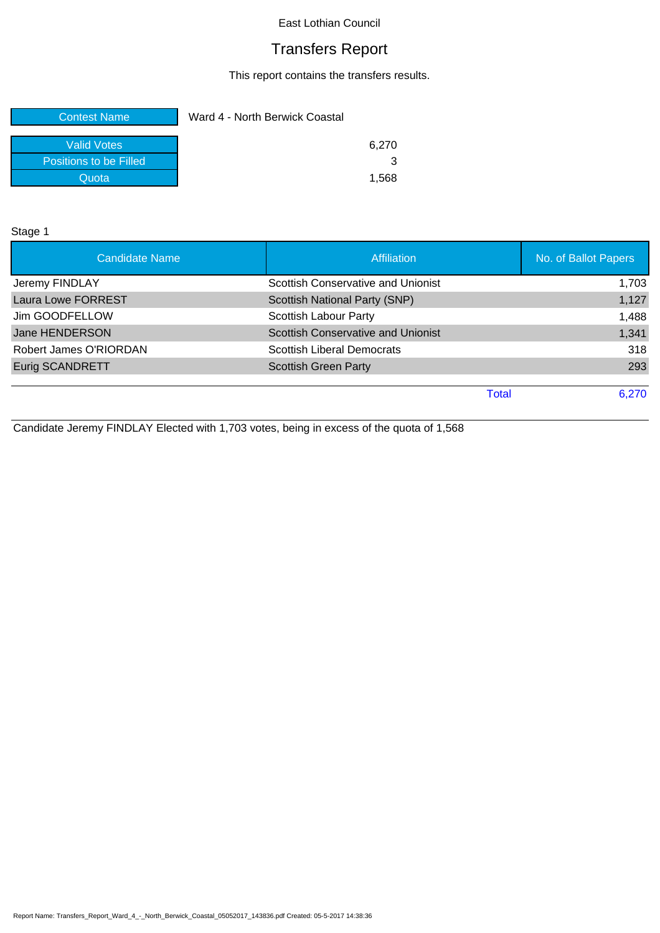# Transfers Report

This report contains the transfers results.

| <b>Contest Name</b>    | Ward 4 - North Berwick Coastal |
|------------------------|--------------------------------|
| <b>Valid Votes</b>     | 6.270                          |
| Positions to be Filled |                                |
| Quota                  | 1.568                          |

Stage 1

| <b>Candidate Name</b>     | <b>Affiliation</b>                        | No. of Ballot Papers |
|---------------------------|-------------------------------------------|----------------------|
| Jeremy FINDLAY            | Scottish Conservative and Unionist        | 1,703                |
| <b>Laura Lowe FORREST</b> | Scottish National Party (SNP)             | 1,127                |
| Jim GOODFELLOW            | <b>Scottish Labour Party</b>              | 1,488                |
| Jane HENDERSON            | <b>Scottish Conservative and Unionist</b> | 1,341                |
| Robert James O'RIORDAN    | <b>Scottish Liberal Democrats</b>         | 318                  |
| <b>Eurig SCANDRETT</b>    | <b>Scottish Green Party</b>               | 293                  |
|                           |                                           |                      |
|                           | <b>Total</b>                              | 6,270                |

Candidate Jeremy FINDLAY Elected with 1,703 votes, being in excess of the quota of 1,568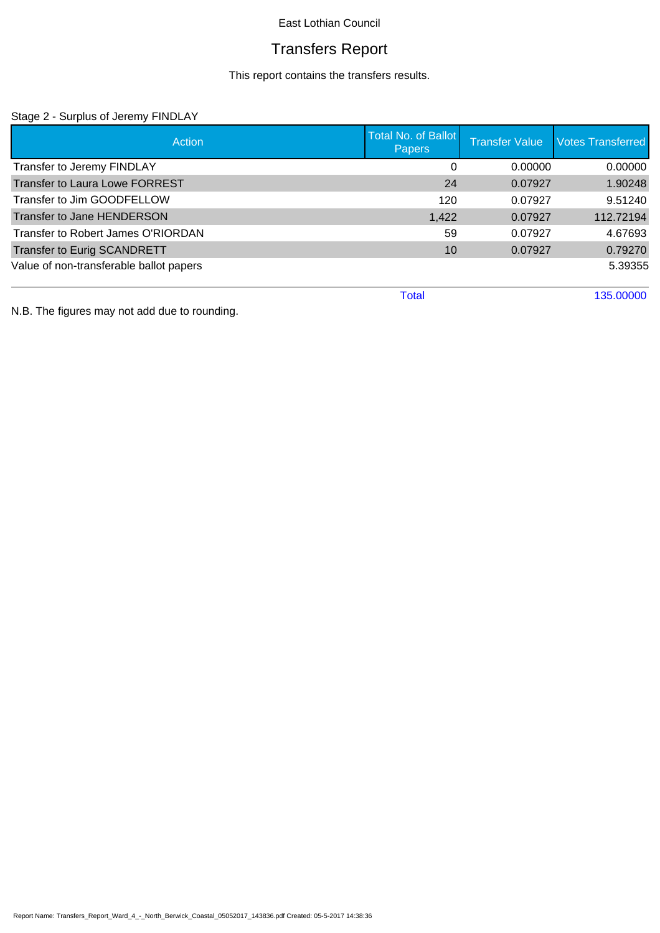# Transfers Report

This report contains the transfers results.

### Stage 2 - Surplus of Jeremy FINDLAY

| Action                                  | <b>Total No. of Ballot</b><br><b>Papers</b> | <b>Transfer Value</b> | <b>Votes Transferred</b> |
|-----------------------------------------|---------------------------------------------|-----------------------|--------------------------|
| Transfer to Jeremy FINDLAY              | $\Omega$                                    | 0.00000               | 0.00000                  |
| <b>Transfer to Laura Lowe FORREST</b>   | 24                                          | 0.07927               | 1.90248                  |
| Transfer to Jim GOODFELLOW              | 120                                         | 0.07927               | 9.51240                  |
| Transfer to Jane HENDERSON              | 1,422                                       | 0.07927               | 112.72194                |
| Transfer to Robert James O'RIORDAN      | 59                                          | 0.07927               | 4.67693                  |
| <b>Transfer to Eurig SCANDRETT</b>      | 10                                          | 0.07927               | 0.79270                  |
| Value of non-transferable ballot papers |                                             |                       | 5.39355                  |
|                                         | <b>Total</b>                                |                       | 135.00000                |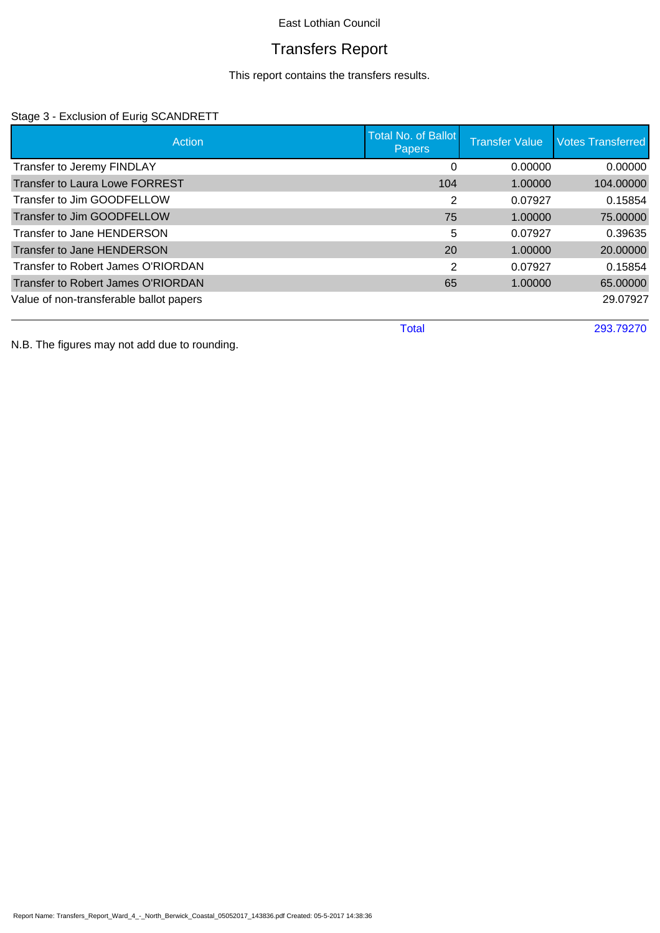# Transfers Report

This report contains the transfers results.

### Stage 3 - Exclusion of Eurig SCANDRETT

| Action                                  | <b>Total No. of Ballot</b><br><b>Papers</b> | <b>Transfer Value</b> | <b>Votes Transferred</b> |
|-----------------------------------------|---------------------------------------------|-----------------------|--------------------------|
| Transfer to Jeremy FINDLAY              | 0                                           | 0.00000               | 0.00000                  |
| <b>Transfer to Laura Lowe FORREST</b>   | 104                                         | 1.00000               | 104.00000                |
| Transfer to Jim GOODFELLOW              | 2                                           | 0.07927               | 0.15854                  |
| Transfer to Jim GOODFELLOW              | 75                                          | 1.00000               | 75.00000                 |
| Transfer to Jane HENDERSON              | 5                                           | 0.07927               | 0.39635                  |
| Transfer to Jane HENDERSON              | 20                                          | 1.00000               | 20.00000                 |
| Transfer to Robert James O'RIORDAN      | 2                                           | 0.07927               | 0.15854                  |
| Transfer to Robert James O'RIORDAN      | 65                                          | 1.00000               | 65.00000                 |
| Value of non-transferable ballot papers |                                             |                       | 29.07927                 |
|                                         | <b>Total</b>                                |                       | 293.79270                |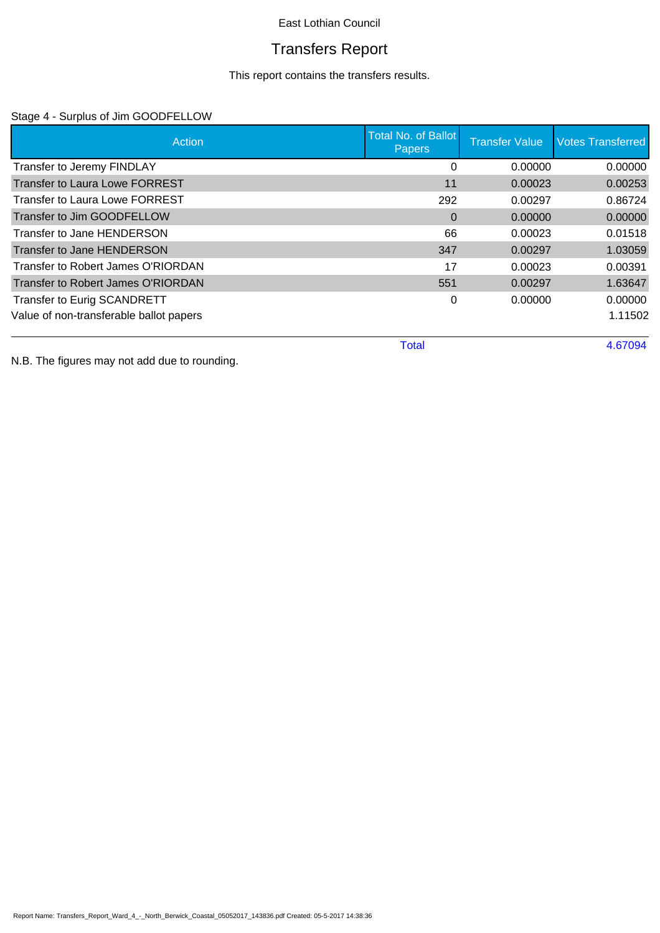# Transfers Report

This report contains the transfers results.

### Stage 4 - Surplus of Jim GOODFELLOW

| Action                                  | <b>Total No. of Ballot</b><br><b>Papers</b> | <b>Transfer Value</b> | <b>Votes Transferred</b> |
|-----------------------------------------|---------------------------------------------|-----------------------|--------------------------|
| Transfer to Jeremy FINDLAY              | 0                                           | 0.00000               | 0.00000                  |
| <b>Transfer to Laura Lowe FORREST</b>   | 11                                          | 0.00023               | 0.00253                  |
| Transfer to Laura Lowe FORREST          | 292                                         | 0.00297               | 0.86724                  |
| Transfer to Jim GOODFELLOW              | $\Omega$                                    | 0.00000               | 0.00000                  |
| Transfer to Jane HENDERSON              | 66                                          | 0.00023               | 0.01518                  |
| Transfer to Jane HENDERSON              | 347                                         | 0.00297               | 1.03059                  |
| Transfer to Robert James O'RIORDAN      | 17                                          | 0.00023               | 0.00391                  |
| Transfer to Robert James O'RIORDAN      | 551                                         | 0.00297               | 1.63647                  |
| Transfer to Eurig SCANDRETT             | 0                                           | 0.00000               | 0.00000                  |
| Value of non-transferable ballot papers |                                             |                       | 1.11502                  |
|                                         | <b>Total</b>                                |                       | 4.67094                  |